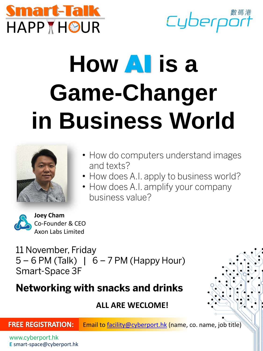

Cyberport

# **How** AI **is a Game-Changer in Business World**



- How do computers understand images and texts?
- How does A.I. apply to business world?
- How does A.I. amplify your company business value?



**Joey Cham** Co-Founder & CEO Axon Labs Limited

11 November, Friday  $5-6$  PM (Talk) |  $6-7$  PM (Happy Hour) Smart-Space 3F

## **Networking with snacks and drinks**

### **ALL ARE WECLOME!**

**FREE REGISTRATION:** 

Email to [facility@cyberport.hk](mailto:facility@cyberport.hk) (name, co. name, job title)

www.cyberport.hk **E** smart-space@cyberport.hk